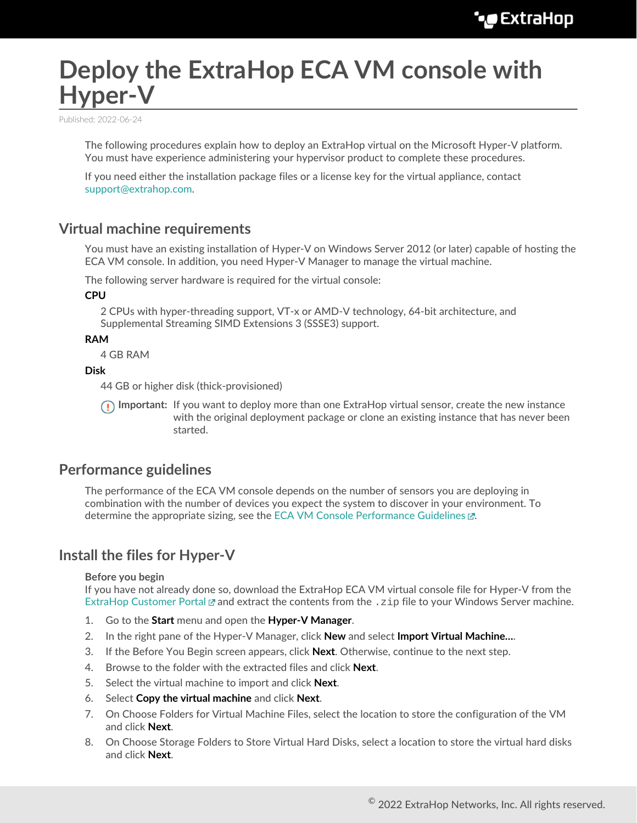# **Deploy the ExtraHop ECA VM console with Hyper-V**

Published: 2022-06-24

The following procedures explain how to deploy an ExtraHop virtual on the Microsoft Hyper-V platform. You must have experience administering your hypervisor product to complete these procedures.

If you need either the installation package files or a license key for the virtual appliance, contact [support@extrahop.com.](mailto:support@extrahop.com)

## **Virtual machine requirements**

You must have an existing installation of Hyper-V on Windows Server 2012 (or later) capable of hosting the ECA VM console. In addition, you need Hyper-V Manager to manage the virtual machine.

The following server hardware is required for the virtual console:

## **CPU**

2 CPUs with hyper-threading support, VT-x or AMD-V technology, 64-bit architecture, and Supplemental Streaming SIMD Extensions 3 (SSSE3) support.

**RAM**

4 GB RAM

**Disk**

44 GB or higher disk (thick-provisioned)

**Important:** If you want to deploy more than one ExtraHop virtual sensor, create the new instance with the original deployment package or clone an existing instance that has never been started.

# **Performance guidelines**

The performance of the ECA VM console depends on the number of sensors you are deploying in combination with the number of devices you expect the system to discover in your environment. To determine the appropriate sizing, see the [ECA VM Console Performance Guidelines](https://docs.extrahop.com/8.9/customers/eca-guidelines) ...

# **Install the files for Hyper-V**

### **Before you begin**

If you have not already done so, download the ExtraHop ECA VM virtual console file for Hyper-V from the [ExtraHop Customer Portal](https://customers.extrahop.com/downloads/virtual-appliances/)  $\mathbb Z$  and extract the contents from the .  $z$ ip file to your Windows Server machine.

- 1. Go to the **Start** menu and open the **Hyper-V Manager**.
- 2. In the right pane of the Hyper-V Manager, click **New** and select **Import Virtual Machine…**.
- 3. If the Before You Begin screen appears, click **Next**. Otherwise, continue to the next step.
- 4. Browse to the folder with the extracted files and click **Next**.
- 5. Select the virtual machine to import and click **Next**.
- 6. Select **Copy the virtual machine** and click **Next**.
- 7. On Choose Folders for Virtual Machine Files, select the location to store the configuration of the VM and click **Next**.
- 8. On Choose Storage Folders to Store Virtual Hard Disks, select a location to store the virtual hard disks and click **Next**.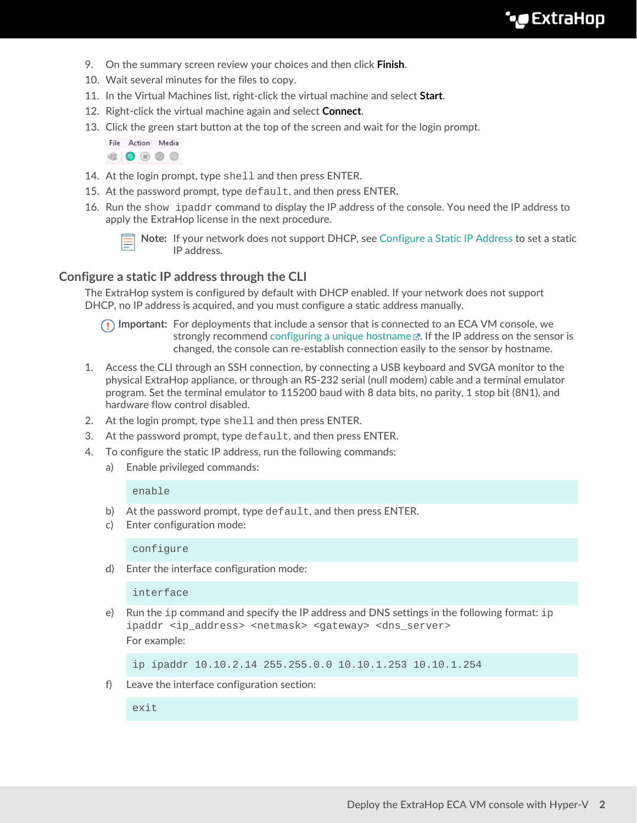- 9. On the summary screen review your choices and then click **Finish**.
- 10. Wait several minutes for the files to copy.
- 11. In the Virtual Machines list, right-click the virtual machine and select **Start**.
- 12. Right-click the virtual machine again and select **Connect**.
- 13. Click the green start button at the top of the screen and wait for the login prompt.

File Action Media  $\begin{array}{c|c|c|c|c|c} \hline \textbf{a} & \textbf{0} & \textbf{0} & \textbf{0} & \textbf{0} \end{array}$ 

- 14. At the login prompt, type shell and then press ENTER.
- 15. At the password prompt, type default, and then press ENTER.
- 16. Run the show ipaddr command to display the IP address of the console. You need the IP address to apply the ExtraHop license in the next procedure.



**Note:** If your network does not support DHCP, see [Configure a Static IP Address](#page-1-0) to set a static IP address.

## <span id="page-1-0"></span>**Configure a static IP address through the CLI**

The ExtraHop system is configured by default with DHCP enabled. If your network does not support DHCP, no IP address is acquired, and you must configure a static address manually.

**Important:** For deployments that include a sensor that is connected to an ECA VM console, we strongly recommend configuring a unique hostname  $\mathbb{E}$ . If the IP address on the sensor is changed, the console can re-establish connection easily to the sensor by hostname.

- 1. Access the CLI through an SSH connection, by connecting a USB keyboard and SVGA monitor to the physical ExtraHop appliance, or through an RS-232 serial (null modem) cable and a terminal emulator program. Set the terminal emulator to 115200 baud with 8 data bits, no parity, 1 stop bit (8N1), and hardware flow control disabled.
- 2. At the login prompt, type shell and then press ENTER.
- 3. At the password prompt, type default, and then press ENTER.
- 4. To configure the static IP address, run the following commands:
	- a) Enable privileged commands:

#### enable

- b) At the password prompt, type default, and then press ENTER.
- c) Enter configuration mode:

configure

d) Enter the interface configuration mode:

interface

e) Run the  $ip$  command and specify the IP address and DNS settings in the following format:  $ip$ ipaddr <ip\_address> <netmask> <gateway> <dns\_server> For example:

ip ipaddr 10.10.2.14 255.255.0.0 10.10.1.253 10.10.1.254

f) Leave the interface configuration section:

exit